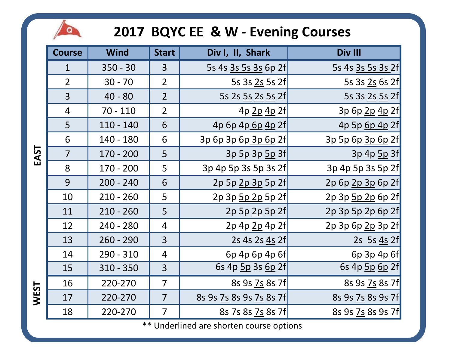## 2017 BQYC EE & W - Evening Courses



| <b>Course</b>  | <b>Wind</b> | <b>Start</b>   | Div I, II, Shark        | Div III           |
|----------------|-------------|----------------|-------------------------|-------------------|
| $\mathbf{1}$   | $350 - 30$  | 3              | 5s 4s 3s 5s 3s 6p 2f    | 5s 4s 3s 5s 3s 2f |
| $\overline{2}$ | $30 - 70$   | $\overline{2}$ | 5s 3s 2s 5s 2f          | 5s 3s 2s 6s 2f    |
| 3              | $40 - 80$   | $\overline{2}$ | 5s 2s 5s 2s 5s 2f       | 5s 3s 2s 5s 2f    |
| $\overline{4}$ | $70 - 110$  | $\overline{2}$ | 4p 2p 4p 2f             | 3p 6p 2p 4p 2f    |
| 5              | $110 - 140$ | 6              | 4p 6p 4p 6p 4p 2f       | 4p 5p 6p 4p 2f    |
| 6              | 140 - 180   | 6              | 3p 6p 3p 6p 3p 6p 2f    | 3p 5p 6p 3p 6p 2f |
| $\overline{7}$ | $170 - 200$ | 5              | 3p 5p 3p 5p 3f          | 3p 4p 5p 3f       |
| 8              | $170 - 200$ | 5              | 3p 4p 5p 3s 5p 3s 2f    | 3p 4p 5p 3s 5p 2f |
| 9              | $200 - 240$ | 6              | 2p 5p 2p 3p 5p 2f       | 2p 6p 2p 3p 6p 2f |
| 10             | $210 - 260$ | 5              | 2p 3p 5p 2p 5p 2f       | 2p 3p 5p 2p 6p 2f |
| 11             | $210 - 260$ | 5              | 2p 5p 2p 5p 2f          | 2p 3p 5p 2p 6p 2f |
| 12             | $240 - 280$ | 4              | 2p 4p 2p 4p 2f          | 2p 3p 6p 2p 3p 2f |
| 13             | $260 - 290$ | 3              | 2s 4s 2s 4s 2f          | 2s 5s 4s 2f       |
| 14             | 290 - 310   | $\overline{4}$ | 6p 4p 6p 4p 6f          | 6p 3p 4p 6f       |
| 15             | $310 - 350$ | 3              | 6s 4p 5p 3s 6p 2f       | 6s 4p 5p 6p 2f    |
| 16             | 220-270     | $\overline{7}$ | 8s 9s 7s 8s 7f          | 8s 9s 7s 8s 7f    |
| 17             | 220-270     | $\overline{7}$ | 8s 9s 7s 8s 9s 7s 8s 7f | 8s 9s 7s 8s 9s 7f |
| 18             | 220-270     | $\overline{7}$ | 8s 7s 8s 7s 8s 7f       | 8s 9s 7s 8s 9s 7f |

\*\* Underlined are shorten course options

EAST

**WEST**